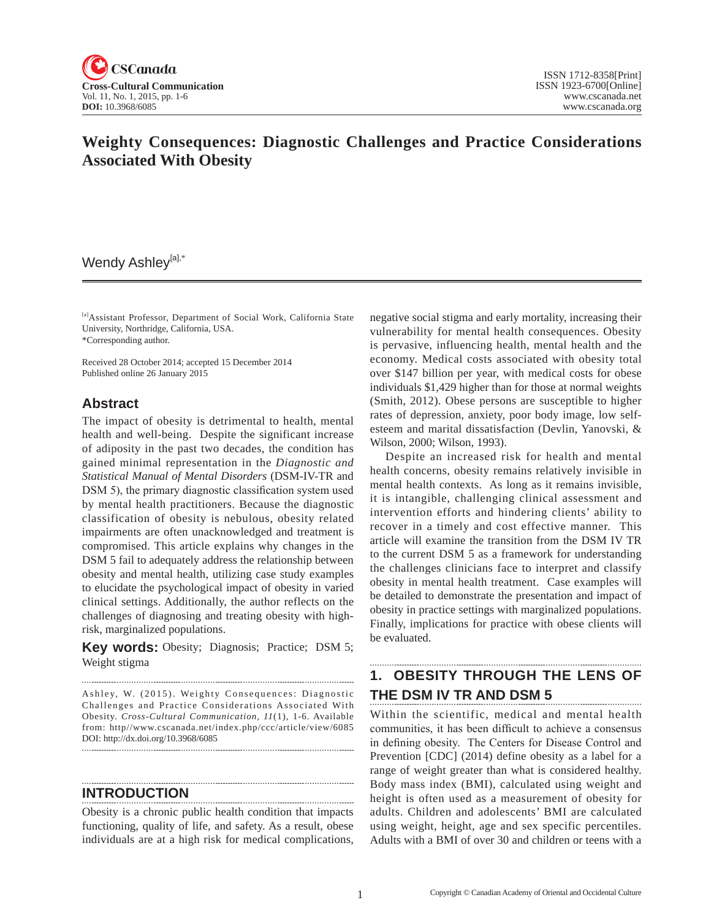

# **Weighty Consequences: Diagnostic Challenges and Practice Considerations Associated With Obesity**

### Wendy Ashley<sup>[a],\*</sup>

[a]Assistant Professor, Department of Social Work, California State University, Northridge, California, USA. \*Corresponding author.

Received 28 October 2014; accepted 15 December 2014 Published online 26 January 2015

#### **Abstract**

The impact of obesity is detrimental to health, mental health and well-being. Despite the significant increase of adiposity in the past two decades, the condition has gained minimal representation in the *Diagnostic and Statistical Manual of Mental Disorders* (DSM-IV-TR and DSM 5), the primary diagnostic classification system used by mental health practitioners. Because the diagnostic classification of obesity is nebulous, obesity related impairments are often unacknowledged and treatment is compromised. This article explains why changes in the DSM 5 fail to adequately address the relationship between obesity and mental health, utilizing case study examples to elucidate the psychological impact of obesity in varied clinical settings. Additionally, the author reflects on the challenges of diagnosing and treating obesity with highrisk, marginalized populations.

**Key words:** Obesity; Diagnosis; Practice; DSM 5; Weight stigma

Ashley, W. (2015). Weighty Consequences: Diagnostic Challenges and Practice Considerations Associated With Obesity. *Cross-Cultural Communication, 11*(1), 1-6. Available from: http//www.cscanada.net/index.php/ccc/article/view/6085 DOI: http://dx.doi.org/10.3968/6085 

**INTRODUCTION**

Obesity is a chronic public health condition that impacts functioning, quality of life, and safety. As a result, obese individuals are at a high risk for medical complications, negative social stigma and early mortality, increasing their vulnerability for mental health consequences. Obesity is pervasive, influencing health, mental health and the economy. Medical costs associated with obesity total over \$147 billion per year, with medical costs for obese individuals \$1,429 higher than for those at normal weights (Smith, 2012). Obese persons are susceptible to higher rates of depression, anxiety, poor body image, low selfesteem and marital dissatisfaction (Devlin, Yanovski, & Wilson, 2000; Wilson, 1993).

Despite an increased risk for health and mental health concerns, obesity remains relatively invisible in mental health contexts. As long as it remains invisible, it is intangible, challenging clinical assessment and intervention efforts and hindering clients' ability to recover in a timely and cost effective manner. This article will examine the transition from the DSM IV TR to the current DSM 5 as a framework for understanding the challenges clinicians face to interpret and classify obesity in mental health treatment. Case examples will be detailed to demonstrate the presentation and impact of obesity in practice settings with marginalized populations. Finally, implications for practice with obese clients will be evaluated.

# **1. OBESITY THROUGH THE LENS OF THE DSM IV TR AND DSM 5**

Within the scientific, medical and mental health communities, it has been difficult to achieve a consensus in defining obesity. The Centers for Disease Control and Prevention [CDC] (2014) define obesity as a label for a range of weight greater than what is considered healthy. Body mass index (BMI), calculated using weight and height is often used as a measurement of obesity for adults. Children and adolescents' BMI are calculated using weight, height, age and sex specific percentiles. Adults with a BMI of over 30 and children or teens with a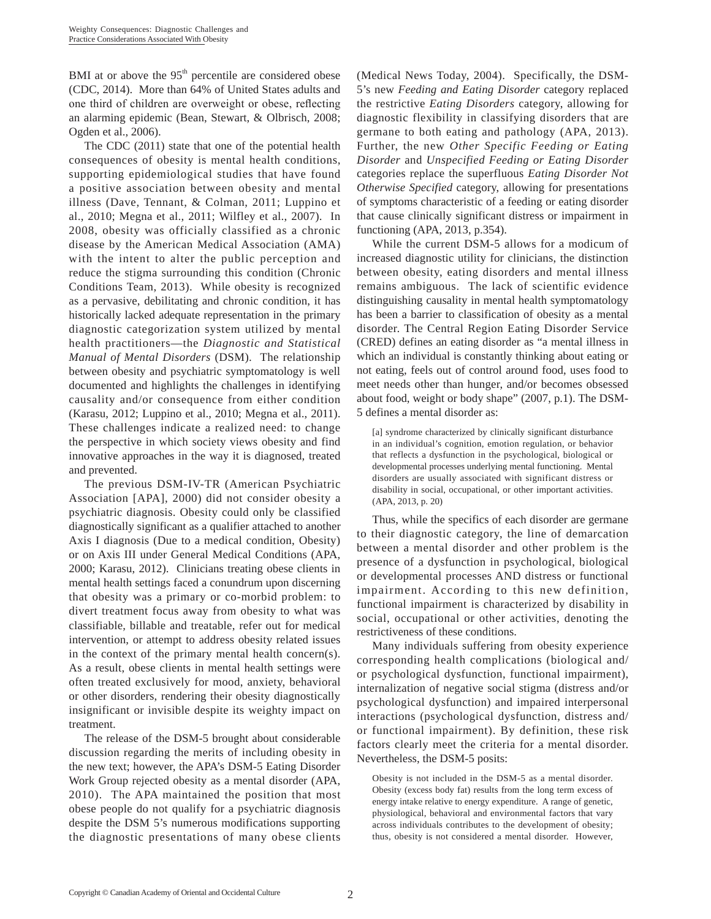BMI at or above the  $95<sup>th</sup>$  percentile are considered obese (CDC, 2014). More than 64% of United States adults and one third of children are overweight or obese, reflecting an alarming epidemic (Bean, Stewart, & Olbrisch, 2008; Ogden et al., 2006).

The CDC (2011) state that one of the potential health consequences of obesity is mental health conditions, supporting epidemiological studies that have found a positive association between obesity and mental illness (Dave, Tennant, & Colman, 2011; Luppino et al., 2010; Megna et al., 2011; Wilfley et al., 2007). In 2008, obesity was officially classified as a chronic disease by the American Medical Association (AMA) with the intent to alter the public perception and reduce the stigma surrounding this condition (Chronic Conditions Team, 2013). While obesity is recognized as a pervasive, debilitating and chronic condition, it has historically lacked adequate representation in the primary diagnostic categorization system utilized by mental health practitioners—the *Diagnostic and Statistical Manual of Mental Disorders* (DSM). The relationship between obesity and psychiatric symptomatology is well documented and highlights the challenges in identifying causality and/or consequence from either condition (Karasu, 2012; Luppino et al., 2010; Megna et al., 2011). These challenges indicate a realized need: to change the perspective in which society views obesity and find innovative approaches in the way it is diagnosed, treated and prevented.

The previous DSM-IV-TR (American Psychiatric Association [APA], 2000) did not consider obesity a psychiatric diagnosis. Obesity could only be classified diagnostically significant as a qualifier attached to another Axis I diagnosis (Due to a medical condition, Obesity) or on Axis III under General Medical Conditions (APA, 2000; Karasu, 2012). Clinicians treating obese clients in mental health settings faced a conundrum upon discerning that obesity was a primary or co-morbid problem: to divert treatment focus away from obesity to what was classifiable, billable and treatable, refer out for medical intervention, or attempt to address obesity related issues in the context of the primary mental health concern(s). As a result, obese clients in mental health settings were often treated exclusively for mood, anxiety, behavioral or other disorders, rendering their obesity diagnostically insignificant or invisible despite its weighty impact on treatment.

The release of the DSM-5 brought about considerable discussion regarding the merits of including obesity in the new text; however, the APA's DSM-5 Eating Disorder Work Group rejected obesity as a mental disorder (APA, 2010). The APA maintained the position that most obese people do not qualify for a psychiatric diagnosis despite the DSM 5's numerous modifications supporting the diagnostic presentations of many obese clients (Medical News Today, 2004). Specifically, the DSM-5's new *Feeding and Eating Disorder* category replaced the restrictive *Eating Disorders* category, allowing for diagnostic flexibility in classifying disorders that are germane to both eating and pathology (APA, 2013). Further, the new *Other Specific Feeding or Eating Disorder* and *Unspecified Feeding or Eating Disorder* categories replace the superfluous *Eating Disorder Not Otherwise Specified* category, allowing for presentations of symptoms characteristic of a feeding or eating disorder that cause clinically significant distress or impairment in functioning (APA, 2013, p.354).

While the current DSM-5 allows for a modicum of increased diagnostic utility for clinicians, the distinction between obesity, eating disorders and mental illness remains ambiguous. The lack of scientific evidence distinguishing causality in mental health symptomatology has been a barrier to classification of obesity as a mental disorder. The Central Region Eating Disorder Service (CRED) defines an eating disorder as "a mental illness in which an individual is constantly thinking about eating or not eating, feels out of control around food, uses food to meet needs other than hunger, and/or becomes obsessed about food, weight or body shape" (2007, p.1). The DSM-5 defines a mental disorder as:

[a] syndrome characterized by clinically significant disturbance in an individual's cognition, emotion regulation, or behavior that reflects a dysfunction in the psychological, biological or developmental processes underlying mental functioning. Mental disorders are usually associated with significant distress or disability in social, occupational, or other important activities. (APA, 2013, p. 20)

Thus, while the specifics of each disorder are germane to their diagnostic category, the line of demarcation between a mental disorder and other problem is the presence of a dysfunction in psychological, biological or developmental processes AND distress or functional impairment. According to this new definition, functional impairment is characterized by disability in social, occupational or other activities, denoting the restrictiveness of these conditions.

Many individuals suffering from obesity experience corresponding health complications (biological and/ or psychological dysfunction, functional impairment), internalization of negative social stigma (distress and/or psychological dysfunction) and impaired interpersonal interactions (psychological dysfunction, distress and/ or functional impairment). By definition, these risk factors clearly meet the criteria for a mental disorder. Nevertheless, the DSM-5 posits:

Obesity is not included in the DSM-5 as a mental disorder. Obesity (excess body fat) results from the long term excess of energy intake relative to energy expenditure. A range of genetic, physiological, behavioral and environmental factors that vary across individuals contributes to the development of obesity; thus, obesity is not considered a mental disorder. However,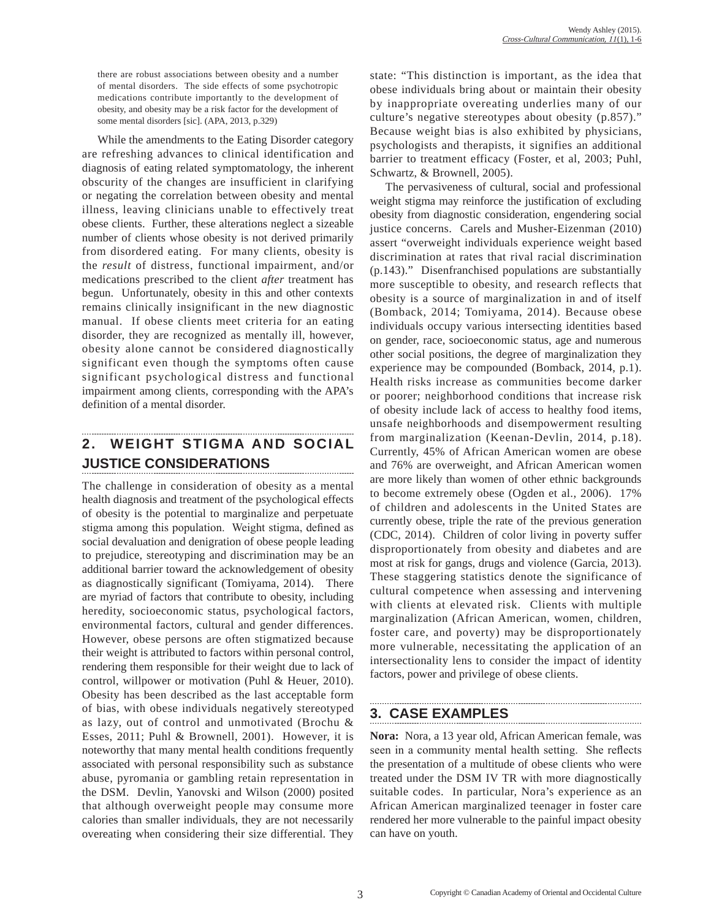there are robust associations between obesity and a number of mental disorders. The side effects of some psychotropic medications contribute importantly to the development of obesity, and obesity may be a risk factor for the development of some mental disorders [sic]. (APA, 2013, p.329)

While the amendments to the Eating Disorder category are refreshing advances to clinical identification and diagnosis of eating related symptomatology, the inherent obscurity of the changes are insufficient in clarifying or negating the correlation between obesity and mental illness, leaving clinicians unable to effectively treat obese clients. Further, these alterations neglect a sizeable number of clients whose obesity is not derived primarily from disordered eating. For many clients, obesity is the *result* of distress, functional impairment, and/or medications prescribed to the client *after* treatment has begun. Unfortunately, obesity in this and other contexts remains clinically insignificant in the new diagnostic manual. If obese clients meet criteria for an eating disorder, they are recognized as mentally ill, however, obesity alone cannot be considered diagnostically significant even though the symptoms often cause significant psychological distress and functional impairment among clients, corresponding with the APA's definition of a mental disorder.

# **2. WEIGHT STIGMA AND SOCIAL JUSTICE CONSIDERATIONS**

The challenge in consideration of obesity as a mental health diagnosis and treatment of the psychological effects of obesity is the potential to marginalize and perpetuate stigma among this population. Weight stigma, defined as social devaluation and denigration of obese people leading to prejudice, stereotyping and discrimination may be an additional barrier toward the acknowledgement of obesity as diagnostically significant (Tomiyama, 2014). There are myriad of factors that contribute to obesity, including heredity, socioeconomic status, psychological factors, environmental factors, cultural and gender differences. However, obese persons are often stigmatized because their weight is attributed to factors within personal control, rendering them responsible for their weight due to lack of control, willpower or motivation (Puhl & Heuer, 2010). Obesity has been described as the last acceptable form of bias, with obese individuals negatively stereotyped as lazy, out of control and unmotivated (Brochu & Esses, 2011; Puhl & Brownell, 2001). However, it is noteworthy that many mental health conditions frequently associated with personal responsibility such as substance abuse, pyromania or gambling retain representation in the DSM. Devlin, Yanovski and Wilson (2000) posited that although overweight people may consume more calories than smaller individuals, they are not necessarily overeating when considering their size differential. They

state: "This distinction is important, as the idea that obese individuals bring about or maintain their obesity by inappropriate overeating underlies many of our culture's negative stereotypes about obesity (p.857)." Because weight bias is also exhibited by physicians, psychologists and therapists, it signifies an additional barrier to treatment efficacy (Foster, et al, 2003; Puhl, Schwartz, & Brownell, 2005).

The pervasiveness of cultural, social and professional weight stigma may reinforce the justification of excluding obesity from diagnostic consideration, engendering social justice concerns. Carels and Musher-Eizenman (2010) assert "overweight individuals experience weight based discrimination at rates that rival racial discrimination (p.143)." Disenfranchised populations are substantially more susceptible to obesity, and research reflects that obesity is a source of marginalization in and of itself (Bomback, 2014; Tomiyama, 2014). Because obese individuals occupy various intersecting identities based on gender, race, socioeconomic status, age and numerous other social positions, the degree of marginalization they experience may be compounded (Bomback, 2014, p.1). Health risks increase as communities become darker or poorer; neighborhood conditions that increase risk of obesity include lack of access to healthy food items, unsafe neighborhoods and disempowerment resulting from marginalization (Keenan-Devlin, 2014, p.18). Currently, 45% of African American women are obese and 76% are overweight, and African American women are more likely than women of other ethnic backgrounds to become extremely obese (Ogden et al., 2006). 17% of children and adolescents in the United States are currently obese, triple the rate of the previous generation (CDC, 2014). Children of color living in poverty suffer disproportionately from obesity and diabetes and are most at risk for gangs, drugs and violence (Garcia, 2013). These staggering statistics denote the significance of cultural competence when assessing and intervening with clients at elevated risk. Clients with multiple marginalization (African American, women, children, foster care, and poverty) may be disproportionately more vulnerable, necessitating the application of an intersectionality lens to consider the impact of identity factors, power and privilege of obese clients.

# **3. CASE EXAMPLES**

**Nora:** Nora, a 13 year old, African American female, was seen in a community mental health setting. She reflects the presentation of a multitude of obese clients who were treated under the DSM IV TR with more diagnostically suitable codes. In particular, Nora's experience as an African American marginalized teenager in foster care rendered her more vulnerable to the painful impact obesity can have on youth.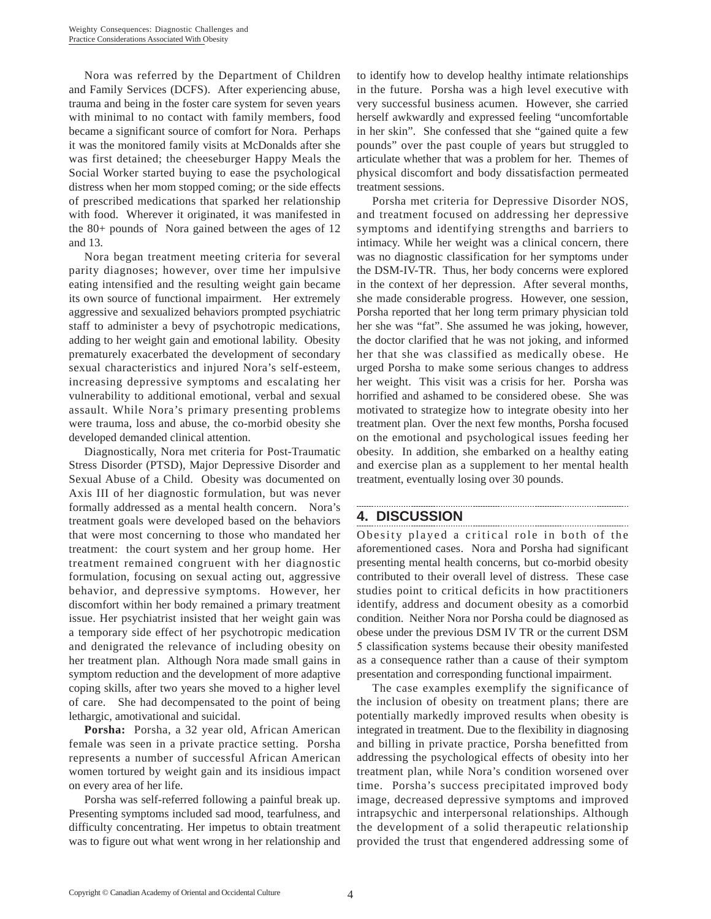Nora was referred by the Department of Children and Family Services (DCFS). After experiencing abuse, trauma and being in the foster care system for seven years with minimal to no contact with family members, food became a significant source of comfort for Nora. Perhaps it was the monitored family visits at McDonalds after she was first detained; the cheeseburger Happy Meals the Social Worker started buying to ease the psychological distress when her mom stopped coming; or the side effects of prescribed medications that sparked her relationship with food. Wherever it originated, it was manifested in the 80+ pounds of Nora gained between the ages of 12 and 13.

Nora began treatment meeting criteria for several parity diagnoses; however, over time her impulsive eating intensified and the resulting weight gain became its own source of functional impairment. Her extremely aggressive and sexualized behaviors prompted psychiatric staff to administer a bevy of psychotropic medications, adding to her weight gain and emotional lability. Obesity prematurely exacerbated the development of secondary sexual characteristics and injured Nora's self-esteem, increasing depressive symptoms and escalating her vulnerability to additional emotional, verbal and sexual assault. While Nora's primary presenting problems were trauma, loss and abuse, the co-morbid obesity she developed demanded clinical attention.

Diagnostically, Nora met criteria for Post-Traumatic Stress Disorder (PTSD), Major Depressive Disorder and Sexual Abuse of a Child. Obesity was documented on Axis III of her diagnostic formulation, but was never formally addressed as a mental health concern. Nora's treatment goals were developed based on the behaviors that were most concerning to those who mandated her treatment: the court system and her group home. Her treatment remained congruent with her diagnostic formulation, focusing on sexual acting out, aggressive behavior, and depressive symptoms. However, her discomfort within her body remained a primary treatment issue. Her psychiatrist insisted that her weight gain was a temporary side effect of her psychotropic medication and denigrated the relevance of including obesity on her treatment plan. Although Nora made small gains in symptom reduction and the development of more adaptive coping skills, after two years she moved to a higher level of care. She had decompensated to the point of being lethargic, amotivational and suicidal.

**Porsha:** Porsha, a 32 year old, African American female was seen in a private practice setting. Porsha represents a number of successful African American women tortured by weight gain and its insidious impact on every area of her life.

Porsha was self-referred following a painful break up. Presenting symptoms included sad mood, tearfulness, and difficulty concentrating. Her impetus to obtain treatment was to figure out what went wrong in her relationship and to identify how to develop healthy intimate relationships in the future. Porsha was a high level executive with very successful business acumen. However, she carried herself awkwardly and expressed feeling "uncomfortable in her skin". She confessed that she "gained quite a few pounds" over the past couple of years but struggled to articulate whether that was a problem for her. Themes of physical discomfort and body dissatisfaction permeated treatment sessions.

Porsha met criteria for Depressive Disorder NOS, and treatment focused on addressing her depressive symptoms and identifying strengths and barriers to intimacy. While her weight was a clinical concern, there was no diagnostic classification for her symptoms under the DSM-IV-TR. Thus, her body concerns were explored in the context of her depression. After several months, she made considerable progress. However, one session, Porsha reported that her long term primary physician told her she was "fat". She assumed he was joking, however, the doctor clarified that he was not joking, and informed her that she was classified as medically obese. He urged Porsha to make some serious changes to address her weight. This visit was a crisis for her. Porsha was horrified and ashamed to be considered obese. She was motivated to strategize how to integrate obesity into her treatment plan. Over the next few months, Porsha focused on the emotional and psychological issues feeding her obesity. In addition, she embarked on a healthy eating and exercise plan as a supplement to her mental health treatment, eventually losing over 30 pounds.

#### **4. DISCUSSION**

Obesity played a critical role in both of the aforementioned cases. Nora and Porsha had significant presenting mental health concerns, but co-morbid obesity contributed to their overall level of distress. These case studies point to critical deficits in how practitioners identify, address and document obesity as a comorbid condition. Neither Nora nor Porsha could be diagnosed as obese under the previous DSM IV TR or the current DSM 5 classification systems because their obesity manifested as a consequence rather than a cause of their symptom presentation and corresponding functional impairment.

The case examples exemplify the significance of the inclusion of obesity on treatment plans; there are potentially markedly improved results when obesity is integrated in treatment. Due to the flexibility in diagnosing and billing in private practice, Porsha benefitted from addressing the psychological effects of obesity into her treatment plan, while Nora's condition worsened over time. Porsha's success precipitated improved body image, decreased depressive symptoms and improved intrapsychic and interpersonal relationships. Although the development of a solid therapeutic relationship provided the trust that engendered addressing some of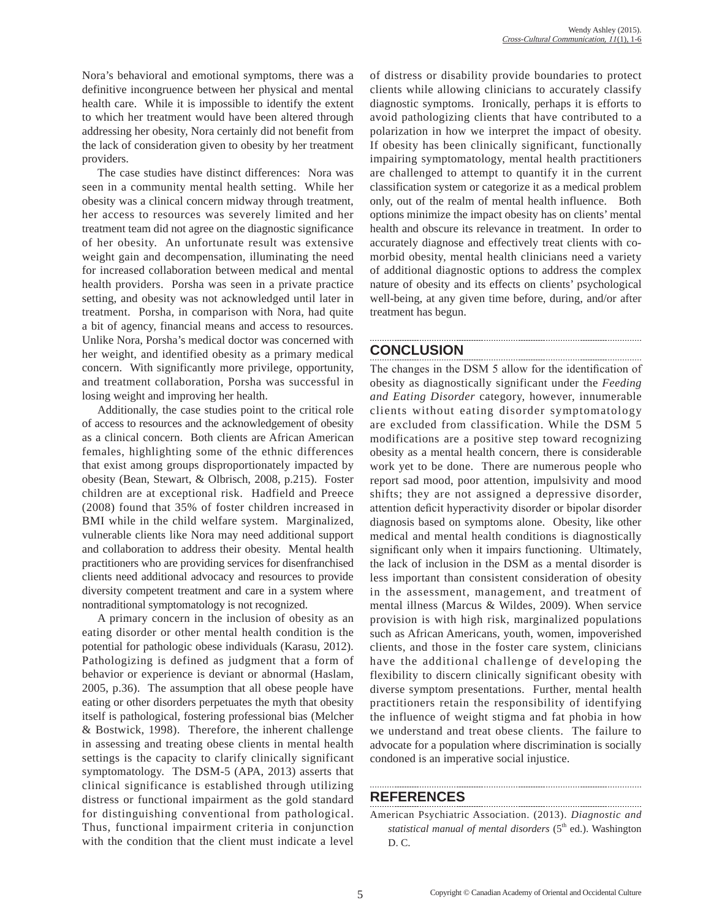Nora's behavioral and emotional symptoms, there was a definitive incongruence between her physical and mental health care. While it is impossible to identify the extent to which her treatment would have been altered through addressing her obesity, Nora certainly did not benefit from the lack of consideration given to obesity by her treatment providers.

The case studies have distinct differences: Nora was seen in a community mental health setting. While her obesity was a clinical concern midway through treatment, her access to resources was severely limited and her treatment team did not agree on the diagnostic significance of her obesity. An unfortunate result was extensive weight gain and decompensation, illuminating the need for increased collaboration between medical and mental health providers. Porsha was seen in a private practice setting, and obesity was not acknowledged until later in treatment. Porsha, in comparison with Nora, had quite a bit of agency, financial means and access to resources. Unlike Nora, Porsha's medical doctor was concerned with her weight, and identified obesity as a primary medical concern. With significantly more privilege, opportunity, and treatment collaboration, Porsha was successful in losing weight and improving her health.

Additionally, the case studies point to the critical role of access to resources and the acknowledgement of obesity as a clinical concern. Both clients are African American females, highlighting some of the ethnic differences that exist among groups disproportionately impacted by obesity (Bean, Stewart, & Olbrisch, 2008, p.215). Foster children are at exceptional risk. Hadfield and Preece (2008) found that 35% of foster children increased in BMI while in the child welfare system. Marginalized, vulnerable clients like Nora may need additional support and collaboration to address their obesity. Mental health practitioners who are providing services for disenfranchised clients need additional advocacy and resources to provide diversity competent treatment and care in a system where nontraditional symptomatology is not recognized.

A primary concern in the inclusion of obesity as an eating disorder or other mental health condition is the potential for pathologic obese individuals (Karasu, 2012). Pathologizing is defined as judgment that a form of behavior or experience is deviant or abnormal (Haslam, 2005, p.36). The assumption that all obese people have eating or other disorders perpetuates the myth that obesity itself is pathological, fostering professional bias (Melcher & Bostwick, 1998). Therefore, the inherent challenge in assessing and treating obese clients in mental health settings is the capacity to clarify clinically significant symptomatology. The DSM-5 (APA, 2013) asserts that clinical significance is established through utilizing distress or functional impairment as the gold standard for distinguishing conventional from pathological. Thus, functional impairment criteria in conjunction with the condition that the client must indicate a level

of distress or disability provide boundaries to protect clients while allowing clinicians to accurately classify diagnostic symptoms. Ironically, perhaps it is efforts to avoid pathologizing clients that have contributed to a polarization in how we interpret the impact of obesity. If obesity has been clinically significant, functionally impairing symptomatology, mental health practitioners are challenged to attempt to quantify it in the current classification system or categorize it as a medical problem only, out of the realm of mental health influence. Both options minimize the impact obesity has on clients' mental health and obscure its relevance in treatment. In order to accurately diagnose and effectively treat clients with comorbid obesity, mental health clinicians need a variety of additional diagnostic options to address the complex nature of obesity and its effects on clients' psychological well-being, at any given time before, during, and/or after treatment has begun.

## **CONCLUSION**

The changes in the DSM 5 allow for the identification of obesity as diagnostically significant under the *Feeding and Eating Disorder* category, however, innumerable clients without eating disorder symptomatology are excluded from classification. While the DSM 5 modifications are a positive step toward recognizing obesity as a mental health concern, there is considerable work yet to be done. There are numerous people who report sad mood, poor attention, impulsivity and mood shifts; they are not assigned a depressive disorder, attention deficit hyperactivity disorder or bipolar disorder diagnosis based on symptoms alone. Obesity, like other medical and mental health conditions is diagnostically significant only when it impairs functioning. Ultimately, the lack of inclusion in the DSM as a mental disorder is less important than consistent consideration of obesity in the assessment, management, and treatment of mental illness (Marcus & Wildes, 2009). When service provision is with high risk, marginalized populations such as African Americans, youth, women, impoverished clients, and those in the foster care system, clinicians have the additional challenge of developing the flexibility to discern clinically significant obesity with diverse symptom presentations. Further, mental health practitioners retain the responsibility of identifying the influence of weight stigma and fat phobia in how we understand and treat obese clients. The failure to advocate for a population where discrimination is socially condoned is an imperative social injustice.

### **REFERENCES**

American Psychiatric Association. (2013). *Diagnostic and statistical manual of mental disorders* (5<sup>th</sup> ed.). Washington D. C.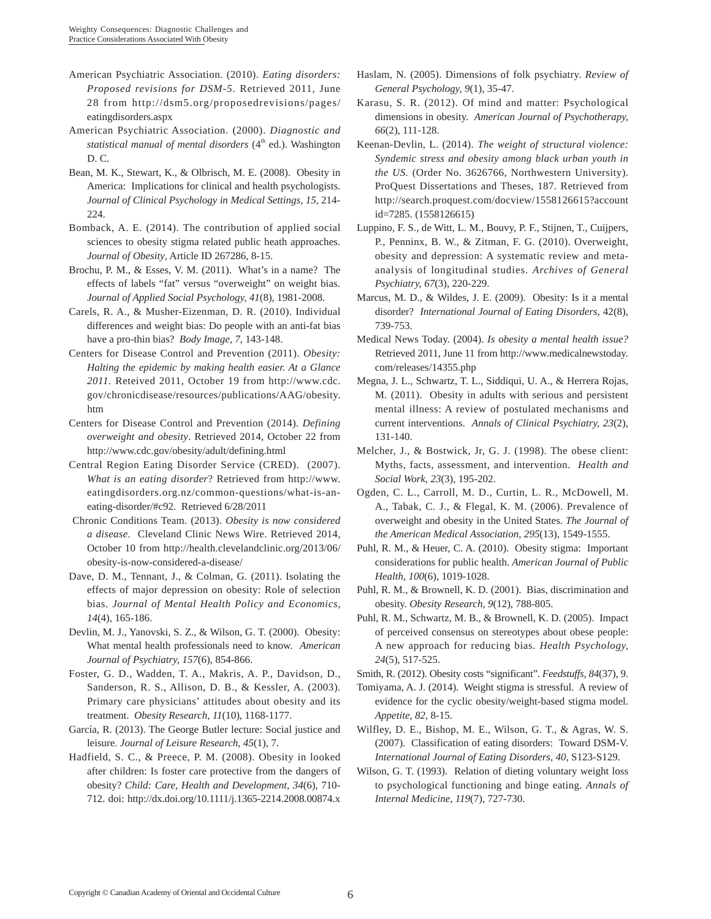- American Psychiatric Association. (2010). *Eating disorders: Proposed revisions for DSM-5*. Retrieved 2011, June 28 from http://dsm5.org/proposedrevisions/pages/ eatingdisorders.aspx
- American Psychiatric Association. (2000). *Diagnostic and statistical manual of mental disorders* (4<sup>th</sup> ed.). Washington D. C.
- Bean, M. K., Stewart, K., & Olbrisch, M. E. (2008). Obesity in America: Implications for clinical and health psychologists. *Journal of Clinical Psychology in Medical Settings, 15,* 214- 224.
- Bomback, A. E. (2014). The contribution of applied social sciences to obesity stigma related public heath approaches. *Journal of Obesity*, Article ID 267286, 8-15.
- Brochu, P. M., & Esses, V. M. (2011). What's in a name? The effects of labels "fat" versus "overweight" on weight bias. *Journal of Applied Social Psychology, 41*(8), 1981-2008.
- Carels, R. A., & Musher-Eizenman, D. R. (2010). Individual differences and weight bias: Do people with an anti-fat bias have a pro-thin bias? *Body Image, 7*, 143-148.
- Centers for Disease Control and Prevention (2011). *Obesity: Halting the epidemic by making health easier. At a Glance 2011.* Reteived 2011, October 19 from http://www.cdc. gov/chronicdisease/resources/publications/AAG/obesity. htm
- Centers for Disease Control and Prevention (2014). *Defining overweight and obesity*. Retrieved 2014, October 22 from http://www.cdc.gov/obesity/adult/defining.html
- Central Region Eating Disorder Service (CRED). (2007). *What is an eating disorder*? Retrieved from http://www. eatingdisorders.org.nz/common-questions/what-is-aneating-disorder/#c92. Retrieved 6/28/2011
- Chronic Conditions Team. (2013). *Obesity is now considered a disease*. Cleveland Clinic News Wire. Retrieved 2014, October 10 from http://health.clevelandclinic.org/2013/06/ obesity-is-now-considered-a-disease/
- Dave, D. M., Tennant, J., & Colman, G. (2011). Isolating the effects of major depression on obesity: Role of selection bias. *Journal of Mental Health Policy and Economics, 14*(4), 165-186.
- Devlin, M. J., Yanovski, S. Z., & Wilson, G. T. (2000). Obesity: What mental health professionals need to know. *American Journal of Psychiatry, 157*(6), 854-866.
- Foster, G. D., Wadden, T. A., Makris, A. P., Davidson, D., Sanderson, R. S., Allison, D. B., & Kessler, A. (2003). Primary care physicians' attitudes about obesity and its treatment. *Obesity Research, 11*(10), 1168-1177.
- García, R. (2013). The George Butler lecture: Social justice and leisure. *Journal of Leisure Research*, *45*(1), 7.
- Hadfield, S. C., & Preece, P. M. (2008). Obesity in looked after children: Is foster care protective from the dangers of obesity? *Child: Care, Health and Development, 34*(6), 710- 712. doi: http://dx.doi.org/10.1111/j.1365-2214.2008.00874.x
- Haslam, N. (2005). Dimensions of folk psychiatry. *Review of General Psychology, 9*(1), 35-47.
- Karasu, S. R. (2012). Of mind and matter: Psychological dimensions in obesity. *American Journal of Psychotherapy, 66*(2), 111-128.
- Keenan-Devlin, L. (2014). *The weight of structural violence: Syndemic stress and obesity among black urban youth in the US.* (Order No. 3626766, Northwestern University). ProQuest Dissertations and Theses, 187. Retrieved from http://search.proquest.com/docview/1558126615?account id=7285. (1558126615)
- Luppino, F. S., de Witt, L. M., Bouvy, P. F., Stijnen, T., Cuijpers, P., Penninx, B. W., & Zitman, F. G. (2010). Overweight, obesity and depression: A systematic review and metaanalysis of longitudinal studies. *Archives of General Psychiatry, 67*(3), 220-229.
- Marcus, M. D., & Wildes, J. E. (2009). Obesity: Is it a mental disorder? *International Journal of Eating Disorders*, 42(8), 739-753.
- Medical News Today. (2004). *Is obesity a mental health issue?*  Retrieved 2011, June 11 from http://www.medicalnewstoday. com/releases/14355.php
- Megna, J. L., Schwartz, T. L., Siddiqui, U. A., & Herrera Rojas, M. (2011). Obesity in adults with serious and persistent mental illness: A review of postulated mechanisms and current interventions. *Annals of Clinical Psychiatry, 23*(2), 131-140.
- Melcher, J., & Bostwick, Jr, G. J. (1998). The obese client: Myths, facts, assessment, and intervention. *Health and Social Work, 23*(3), 195-202.
- Ogden, C. L., Carroll, M. D., Curtin, L. R., McDowell, M. A., Tabak, C. J., & Flegal, K. M. (2006). Prevalence of overweight and obesity in the United States. *The Journal of the American Medical Association, 295*(13), 1549-1555.
- Puhl, R. M., & Heuer, C. A. (2010). Obesity stigma: Important considerations for public health. *American Journal of Public Health, 100*(6), 1019-1028.
- Puhl, R. M., & Brownell, K. D. (2001). Bias, discrimination and obesity. *Obesity Research, 9*(12), 788-805.
- Puhl, R. M., Schwartz, M. B., & Brownell, K. D. (2005). Impact of perceived consensus on stereotypes about obese people: A new approach for reducing bias. *Health Psychology, 24*(5), 517-525.
- Smith, R. (2012). Obesity costs "significant". *Feedstuffs*, *84*(37), 9.
- Tomiyama, A. J. (2014). Weight stigma is stressful. A review of evidence for the cyclic obesity/weight-based stigma model. *Appetite, 82*, 8-15.
- Wilfley, D. E., Bishop, M. E., Wilson, G. T., & Agras, W. S. (2007). Classification of eating disorders: Toward DSM-V. *International Journal of Eating Disorders, 40,* S123-S129.
- Wilson, G. T. (1993). Relation of dieting voluntary weight loss to psychological functioning and binge eating. *Annals of Internal Medicine, 119*(7), 727-730.